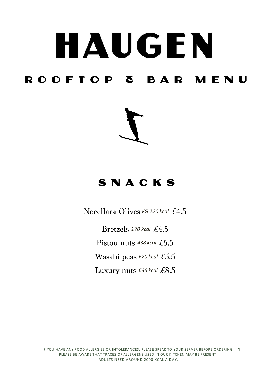# HAUGEN ROOFTOP & BAR MENU



### SNACKS

*Nocellara Olives VG 220 kcal £4.5* 

*170 kcal* Pistou nuts 438 kcal £5.5 **Wasabi** peas 620 kcal £5.5 Luxury nuts 636 kcal £8.5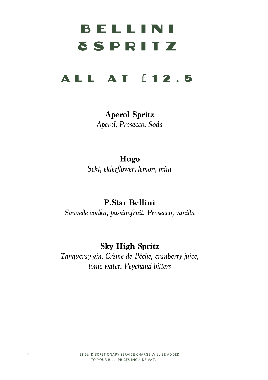# BELLINI **TSPRITZ**

### **ALL AT £12.5**

**Aperol Spritz** Aperol, Prosecco, Soda

Hugo Sekt, elderflower, lemon, mint

**P.Star Bellini** Sauvelle vodka, passionfruit, Prosecco, vanilla

**Sky High Spritz** Tanqueray gin, Crème de Pêche, cranberry juice, tonic water, Peychaud bitters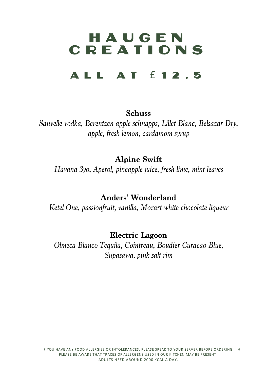## HAUGEN **CREATIONS**

### **ALL AT f12.5**

#### **Schuss**

Sauvelle vodka, Berentzen apple schnapps, Lillet Blanc, Belsazar Dry, apple, fresh lemon, cardamom syrup

**Alpine Swift** 

Havana 3yo, Aperol, pineapple juice, fresh lime, mint leaves

**Anders' Wonderland** 

Ketel One, passionfruit, vanilla, Mozart white chocolate liqueur

**Electric Lagoon** 

Olmeca Blanco Tequila, Cointreau, Boudier Curacao Blue, Supasawa, pink salt rim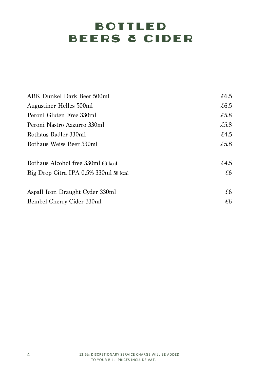### **BOTTLED BEERS & CIDER**

| ABK Dunkel Dark Beer 500ml            | £6.5 |
|---------------------------------------|------|
| Augustiner Helles 500ml               | £6.5 |
| Peroni Gluten Free 330ml              | £5.8 |
| Peroni Nastro Azzurro 330ml           | £5.8 |
| Rothaus Radler 330ml                  | £4.5 |
| Rothaus Weiss Beer 330ml              | £5.8 |
| Rothaus Alcohol free 330ml 63 kcal    | £4.5 |
| Big Drop Citra IPA 0.5% 330ml 58 kcal | £6   |
| Aspall Icon Draught Cyder 330ml       | £6   |
| Bembel Cherry Cider 330ml             | £6   |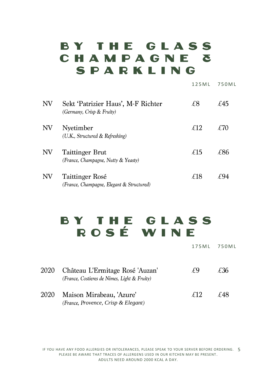### BY THE GLASS CHAMPAGNE & SPARKLING

| $N\!V$ | Sekt 'Patrizier Haus', M-F Richter<br>(Germany, Crisp & Fruity) | £8  | £45 |
|--------|-----------------------------------------------------------------|-----|-----|
| NV     | Nyetimber<br>(U.K., Structured & Refreshing)                    | £12 | £70 |
| $N\!V$ | Taittinger Brut<br>(France, Champagne, Nutty & Yeasty)          | £15 | £86 |
| NV     | Taittinger Rosé<br>(France, Champagne, Elegant & Structured)    | £18 | £94 |

### BY THE GLASS ROSÉ WINE

1 7 5 M L 7 5 0 M L

1 2 5 M L 7 5 0 M L

| 2020 | Château L'Ermitage Rosé 'Auzan'<br>(France, Costieres de Nimes, Light & Fruity) | ŦЧ  | £36 |
|------|---------------------------------------------------------------------------------|-----|-----|
| 2020 | Maison Mirabeau, 'Azure'<br>(France, Provence, Crisp & Elegant)                 | F12 | £48 |

IF YOU HAVE ANY FOOD ALLERGIES OR INTOLERANCES, PLEASE SPEAK TO YOUR SERVER BEFORE ORDERING. 5 PLEASE BE AWARE THAT TRACES OF ALLERGENS USED IN OUR KITCHEN MAY BE PRESENT . ADULTS NEED AROUND 2000 KCAL A DAY.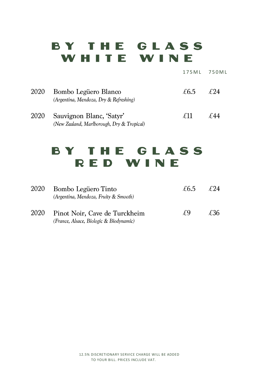### BY THE GLASS WHITE WINE

|      |                                                                        | 175 M L | 750ML |
|------|------------------------------------------------------------------------|---------|-------|
| 2020 | Bombo Legüero Blanco<br>(Argentina, Mendoza, Dry & Refreshing)         | £6.5    | F94   |
| 2020 | Sauvignon Blanc, 'Satyr'<br>(New Zealand, Marlborough, Dry & Tropical) | £11     | f 44  |

### BY THE GLASS RED WINE

| 2020 | Bombo Legüero Tinto<br>(Argentina, Mendoza, Fruity & Smooth)             | £6.5 | F 24 |
|------|--------------------------------------------------------------------------|------|------|
| 2020 | Pinot Noir, Cave de Turckheim<br>(France, Alsace, Biologic & Biodynamic) | Ŧ9   | £36  |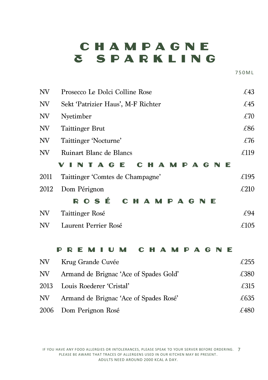### CHAMPAGNE **& SPARKLING**

7 5 0 M L

| NV   | Prosecco Le Dolci Colline Rose                                       | £43  |
|------|----------------------------------------------------------------------|------|
| NV   | Sekt 'Patrizier Haus', M-F Richter                                   | £45  |
| NV   | Nyetimber                                                            | £70  |
| NV   | <b>Taittinger Brut</b>                                               | £86  |
| NV   | Taittinger 'Nocturne'                                                | £76  |
| NV   | Ruinart Blanc de Blancs                                              | £119 |
|      | AGE<br>- 61<br>A<br>MPA<br>G<br>Е<br>C                               |      |
| 2011 | Taittinger 'Comtes de Champagne'                                     | £195 |
| 2012 | Dom Pérignon                                                         | £210 |
|      | ROSÉ<br>C H<br><b>AMPAGNE</b>                                        |      |
| NV   | Taittinger Rosé                                                      | £94  |
| NV   | Laurent Perrier Rosé                                                 | £105 |
|      |                                                                      |      |
|      | M P<br>$\blacktriangle$<br>G<br>E<br>P<br>Е<br>U<br>C<br>Δ<br>R<br>M |      |
| NV.  | Krug Grande Cuvée                                                    | £255 |
| NV   | Armand de Brignac 'Ace of Spades Gold'                               | €380 |

|     | $\ldots$ . Therefore, we presence they are placed done |      |
|-----|--------------------------------------------------------|------|
|     | 2013 Louis Roederer 'Cristal'                          | £315 |
| NV. | Armand de Brignac 'Ace of Spades Rosé'                 | £635 |
|     | 2006 Dom Perignon Rosé                                 | £480 |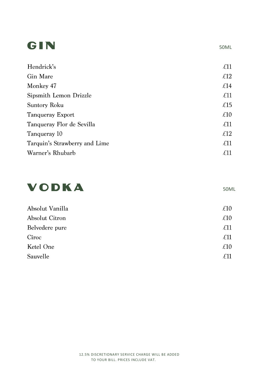### GIN

| Hendrick's                    | $\pounds11$     |
|-------------------------------|-----------------|
| Gin Mare                      | $\mathcal{L}12$ |
| Monkey 47                     | $\mathcal{L}14$ |
| Sipsmith Lemon Drizzle        | $\mathcal{L}11$ |
| Suntory Roku                  | $\mathcal{L}15$ |
| Tanqueray Export              | $\pounds10$     |
| Tanqueray Flor de Sevilla     | $\pounds11$     |
| Tanqueray 10                  | $\mathcal{L}12$ |
| Tarquin's Strawberry and Lime | $\pounds11$     |
| Warner's Rhubarb              | £11             |



Absolut Vanilla  $£10$ Absolut Citron  $\mathcal{L}10$ Belvedere pure  $£11$ Cîroc  $£11$ Ketel One  $\mathcal{L}10$ Sauvelle  $£11$ 

#### 50ML

50ML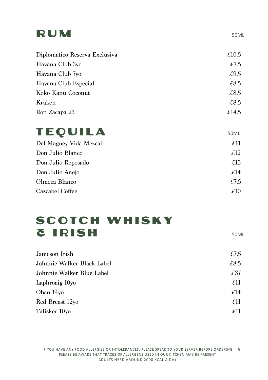### RUM

| £10.5 |
|-------|
| £7.5  |
| £9.5  |
| £8.5  |
| £8.5  |
| £8.5  |
| £14.5 |
|       |

### **TEQUILA**

| Del Maguey Vida Mezcal | £11  |
|------------------------|------|
| Don Julio Blanco       | £12  |
| Don Julio Reposado     | £13  |
| Don Julio Anejo        | £14  |
| Olmeca Blanco          | £7.5 |
| Cazcabel Coffee        | £10  |

### **SCOTCH WHISKY & IRISH**

50ML

| £7.5            |
|-----------------|
| £8.5            |
| £37             |
| $\mathcal{L}11$ |
| £14             |
| $\mathcal{L}11$ |
| $\mathcal{L}11$ |
|                 |

IF YOU HAVE ANY FOOD ALLERGIES OR INTOLERANCES, PLEASE SPEAK TO YOUR SERVER BEFORE ORDERING. 9 PLEASE BE AWARE THAT TRACES OF ALLERGENS USED IN OUR KITCHEN MAY BE PRESENT . ADULTS NEED AROUND 2000 KCAL A DAY.

50ML

50ML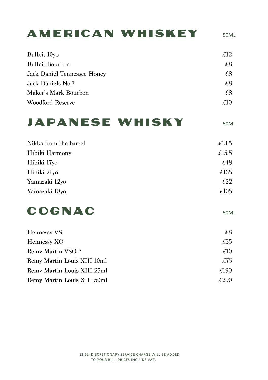### **AMERICAN WHISKEY**

Bulleit 10yo  $£12$ **Bulleit Bourbon**  $f8$  $\overline{28}$ Jack Daniel Tennessee Honey Jack Daniels No.7  $£8$ Maker's Mark Bourbon  $f8$ **Woodford Reserve**  $£10$ 

### **JAPANESE WHISKY**

50ML

50ML

| Nikka from the barrel | £13.5 |
|-----------------------|-------|
| Hibiki Harmony        | £15.5 |
| Hibiki 17yo           | £48   |
| Hibiki 21yo           | £135  |
| Yamazaki 12yo         | £22   |
| Yamazaki 18yo         | £105  |
|                       |       |

### COGNAC

| Hennessy VS                 | £8.  |
|-----------------------------|------|
| Hennessy XO                 | £35  |
| Remy Martin VSOP            | £10  |
| Remy Martin Louis XIII 10ml | £75  |
| Remy Martin Louis XIII 25ml | £190 |
| Remy Martin Louis XIII 50ml | £290 |

50ML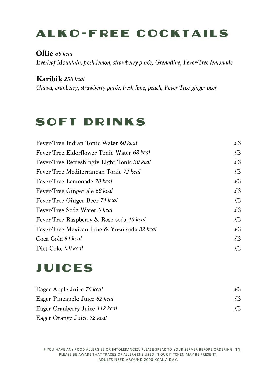### **ALKO-FREE COCKTAILS**

#### *85 kcal*

Everleaf Mountain, fresh lemon, strawberry purée, Grenadine, Fever-Tree lemonade

#### *258 kcal*

Guava, cranberry, strawberry purée, fresh lime, peach, Fever Tree ginger beer

### **SOFT DRINKS**

| Fever-Tree Indian Tonic Water 60 kcal       | £3 |
|---------------------------------------------|----|
| Fever-Tree Elderflower Tonic Water 68 kcal  | £З |
| Fever-Tree Refreshingly Light Tonic 30 kcal | £3 |
| Fever-Tree Mediterranean Tonic 72 kcal      | £3 |
| Fever-Tree Lemonade 70 kcal                 | £3 |
| Fever-Tree Ginger ale 68 kcal               | £3 |
| Fever-Tree Ginger Beer 74 kcal              | £3 |
| Fever-Tree Soda Water 0 kcal                | £3 |
| Fever-Tree Raspberry & Rose soda 40 kcal    | £3 |
| Fever-Tree Mexican lime & Yuzu soda 32 kcal | £3 |
| Coca Cola 84 kcal                           | £3 |
| Diet Coke 0.8 kcal                          | £3 |

### **JUICES**

| Eager Apple Juice 76 kcal      | £З |
|--------------------------------|----|
| Eager Pineapple Juice 82 kcal  | £З |
| Eager Cranberry Juice 112 kcal | £З |
| Eager Orange Juice 72 kcal     |    |